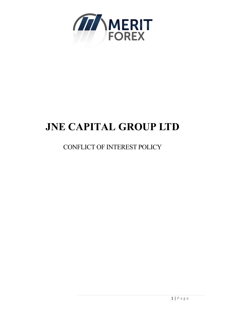

# **JNE CAPITAL GROUP LTD**

# CONFLICT OF INTEREST POLICY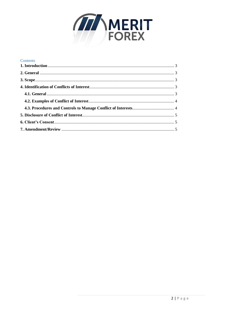

| Contents |  |
|----------|--|
|          |  |
|          |  |
|          |  |
|          |  |
|          |  |
|          |  |
|          |  |
|          |  |
|          |  |
|          |  |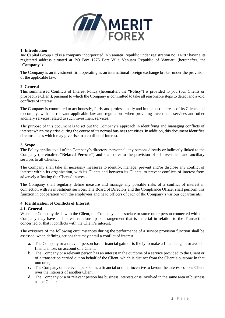

## <span id="page-2-0"></span>**1. Introduction**

Jne Capital Group Ltd is a company incorporated in Vanuatu Republic under registration no. 14787 having its registered address situated at PO Box 1276 Port Villa Vanuatu Republic of Vanuatu (hereinafter, the "**Company**").

The Company is an investment firm operating as an international foreign exchange broker under the provision of the applicable law.

#### <span id="page-2-1"></span>**2. General**

This summarised Conflicts of Interest Policy (hereinafter, the "**Policy**") is provided to you (our Clients or prospective Client), pursuant to which the Company is committed to take all reasonable steps to detect and avoid conflicts of interest.

The Company is committed to act honestly, fairly and professionally and in the best interests of its Clients and to comply, with the relevant applicable law and regulations when providing investment services and other ancillary services related to such investment services.

The purpose of this document is to set out the Company's approach in identifying and managing conflicts of interest which may arise during the course of its normal business activities. In addition, this document identifies circumstances which may give rise to a conflict of interest.

#### <span id="page-2-2"></span>**3. Scope**

The Policy applies to all of the Company's directors, personnel, any persons directly or indirectly linked to the Company (hereinafter, "**Related Persons**") and shall refer to the provision of all investment and ancillary services to all Clients. .

The Company shall take all necessary measures to identify, manage, prevent and/or disclose any conflict of interest within its organization, with its Clients and between its Clients, to prevent conflicts of interest from adversely affecting the Clients' interests.

The Company shall regularly define measure and manage any possible risks of a conflict of interest in connection with its investment services. The Board of Directors and the Compliance Officer shall perform this function in cooperation with the employees and head officers of each of the Company's various departments.

#### <span id="page-2-3"></span>**4. Identification of Conflicts of Interest**

#### <span id="page-2-4"></span>**4.1. General**

When the Company deals with the Client, the Company, an associate or some other person connected with the Company may have an interest, relationship or arrangement that is material in relation to the Transaction concerned or that it conflicts with the Client's interest.

The existence of the following circumstances during the performance of a service provision function shall be assessed, when defining actions that may entail a conflict of interest:

- a. The Company or a relevant person has a financial gain or is likely to make a financial gain or avoid a financial loss on account of a Client;
- b. The Company or a relevant person has an interest in the outcome of a service provided to the Client or of a transaction carried out on behalf of the Client, which is distinct from the Client's outcome in that outcome;
- c. The Company or a relevant person has a financial or other incentive to favour the interests of one Client over the interests of another Client;
- d. The Company or a or relevant person has business interests or is involved in the same area of business as the Client;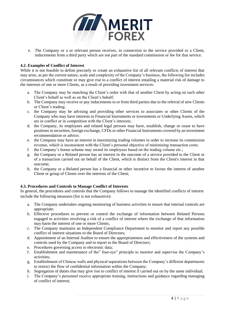

e. The Company or a or relevant person receives, in connection to the service provided to a Client, inducements from a third party which are not part of the standard commission or fee for that service.

## <span id="page-3-0"></span>**4.2. Examples of Conflict of Interest**

While it is not feasible to define precisely or create an exhaustive list of all relevant conflicts of interest that may arise, as per the current nature, scale and complexity of the Company's business, the following list includes circumstances which constitute or may give rise to a conflict of interest entailing a material risk of damage to the interests of one or more Clients, as a result of providing investment services:

- a. The Company may be matching the Client's order with that of another Client by acting on such other Client's behalf as well as on the Client's behalf;
- b. The Company may receive or pay inducements to or from third parties due to the referral of new Clients or Client's trading;
- c. the Company may be advising and providing other services to associates or other Clients of the Company who may have interests in Financial Instruments or investments or Underlying Assets, which are in conflict or in competition with the Client's interests;
- d. the Company, its employees and related legal persons may have, establish, change or cease to have positions in securities, foreign exchange, CFDs or other Financial Instruments covered by an investment recommendation or advice;
- e. the Company may have an interest in maximizing trading volumes in order to increase its commission revenue, which is inconsistent with the Client's personal objective of minimizing transaction costs;
- f. the Company's bonus scheme may award its employees based on the trading volume etc.;
- g. the Company or a Related person has an interest in the outcome of a service provided to the Client or of a transaction carried out on behalf of the Client, which is distinct from the Client's interest in that outcome;
- h. the Company or a Related person has a financial or other incentive to favour the interest of another Client or group of Clients over the interests of the Client;

# <span id="page-3-1"></span>**4.3. Procedures and Controls to Manage Conflict of Interests**

In general, the procedures and controls that the Company follows to manage the identified conflicts of interest include the following measures (list is not exhaustive):

- a. The Company undertakes ongoing monitoring of business activities to ensure that internal controls are appropriate;
- b. Effective procedures to prevent or control the exchange of information between Related Persons engaged in activities involving a risk of a conflict of interest where the exchange of that information may harm the interest of one or more Clients;
- c. The Company maintains an Independent Compliance Department to monitor and report any possible conflict of interest situations to the Board of Directors;
- d. Appointment of an Internal Auditor to ensure the appropriateness and effectiveness of the systems and controls used by the Company and to report to the Board of Directors;
- e. Procedures governing access to electronic data;
- f. Establishment and maintenance of the" four-eye" principle to monitor and supervise the Company's activities;
- g. Establishment of Chinese walls and physical separations between the Company's different departments to restrict the flow of confidential information within the Company;
- h. Segregation of duties that may give rise to conflict of interest if carried out on by the same individual;
- i. The Company's personnel receive appropriate training, instructions and guidance regarding managing of conflict of interest;